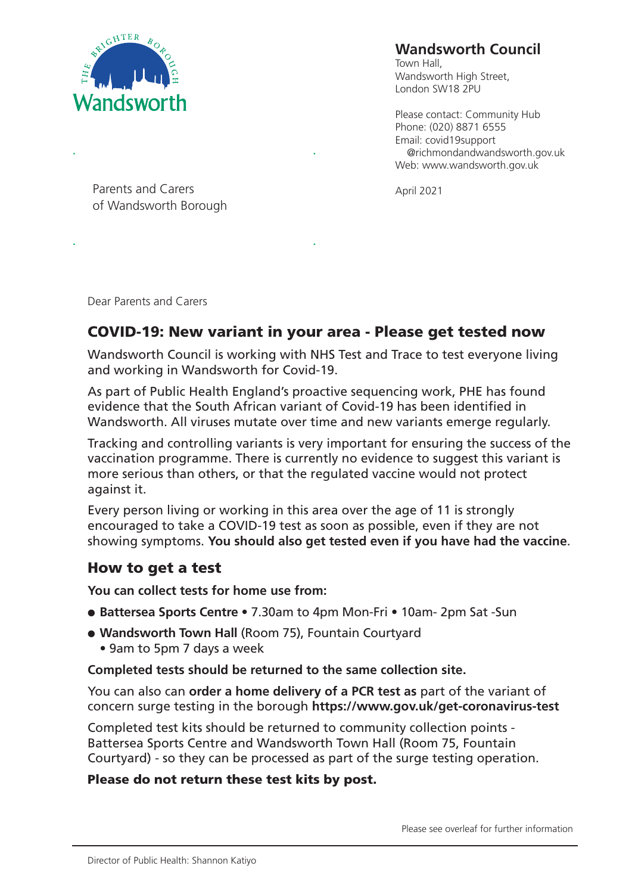

# **Wandsworth Council**

Town Hall, Wandsworth High Street, London SW18 2PU

Please contact: Community Hub Phone: (020) 8871 6555 Email: covid19support @richmondandwandsworth.gov.uk Web: www.wandsworth.gov.uk

Parents and Carers **April 2021** of Wandsworth Borough

. .

Dear Parents and Carers

.

# **COVID-19: New variant in your area - Please get tested now**

.

Wandsworth Council is working with NHS Test and Trace to test everyone living and working in Wandsworth for Covid-19.

As part of Public Health England's proactive sequencing work, PHE has found evidence that the South African variant of Covid-19 has been identified in Wandsworth. All viruses mutate over time and new variants emerge regularly.

Tracking and controlling variants is very important for ensuring the success of the vaccination programme. There is currently no evidence to suggest this variant is more serious than others, or that the regulated vaccine would not protect against it.

Every person living or working in this area over the age of 11 is strongly encouraged to take a COVID-19 test as soon as possible, even if they are not showing symptoms. **You should also get tested even if you have had the vaccine**.

### **How to get a test**

**You can collect tests for home use from:**

- l **Battersea Sports Centre** 7.30am to 4pm Mon-Fri 10am- 2pm Sat -Sun
- **. Wandsworth Town Hall (Room 75), Fountain Courtyard** • 9am to 5pm 7 days a week

**Completed tests should be returned to the same collection site.**

You can also can **order a home delivery of a PCR test as** part of the variant of concern surge testing in the borough **https://www.gov.uk/get-coronavirus-test**

Completed test kits should be returned to community collection points - Battersea Sports Centre and Wandsworth Town Hall (Room 75, Fountain Courtyard) - so they can be processed as part of the surge testing operation.

#### **Please do not return these test kits by post.**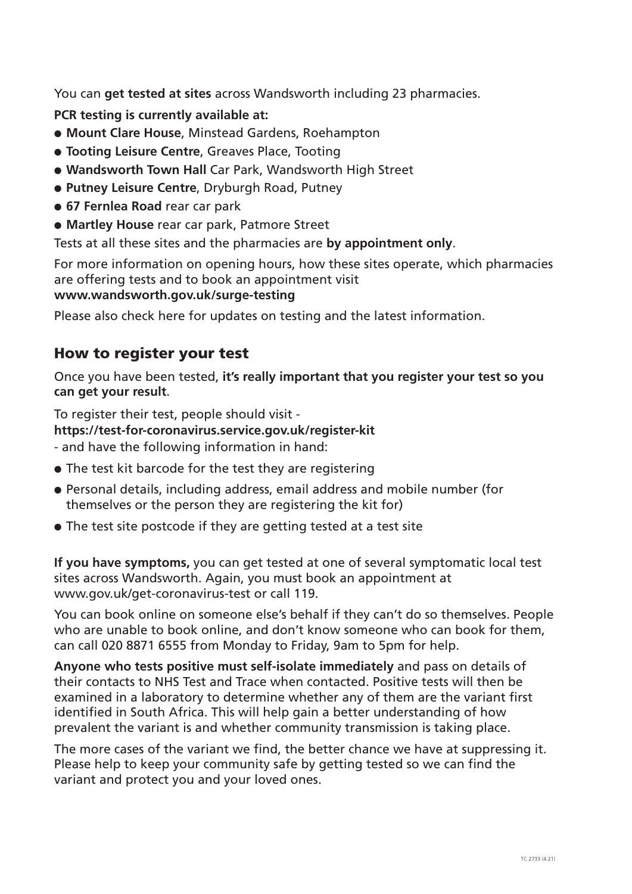You can **get tested at sites** across Wandsworth including 23 pharmacies.

**PCR testing is currently available at:**

- **. Mount Clare House, Minstead Gardens, Roehampton**
- **. Tooting Leisure Centre, Greaves Place, Tooting**
- **.** Wandsworth Town Hall Car Park, Wandsworth High Street
- **.** Putney Leisure Centre, Dryburgh Road, Putney
- l **67 Fernlea Road** rear car park
- **.** Martley House rear car park, Patmore Street

Tests at all these sites and the pharmacies are **by appointment only**.

For more information on opening hours, how these sites operate, which pharmacies are offering tests and to book an appointment visit **www.wandsworth.gov.uk/surge-testing**

Please also check here for updates on testing and the latest information.

#### **How to register your test**

Once you have been tested, **it's really important that you register your test so you can get your result**.

To register their test, people should visit **https://test-for-coronavirus.service.gov.uk/register-kit** 

- and have the following information in hand:
- $\bullet$  The test kit barcode for the test they are registering
- Personal details, including address, email address and mobile number (for themselves or the person they are registering the kit for)
- $\bullet$  The test site postcode if they are getting tested at a test site

**If you have symptoms,** you can get tested at one of several symptomatic local test sites across Wandsworth. Again, you must book an appointment at www.gov.uk/get-coronavirus-test or call 119.

You can book online on someone else's behalf if they can't do so themselves. People who are unable to book online, and don't know someone who can book for them, can call 020 8871 6555 from Monday to Friday, 9am to 5pm for help.

**Anyone who tests positive must self-isolate immediately** and pass on details of their contacts to NHS Test and Trace when contacted. Positive tests will then be examined in a laboratory to determine whether any of them are the variant first identified in South Africa. This will help gain a better understanding of how prevalent the variant is and whether community transmission is taking place.

The more cases of the variant we find, the better chance we have at suppressing it. Please help to keep your community safe by getting tested so we can find the variant and protect you and your loved ones.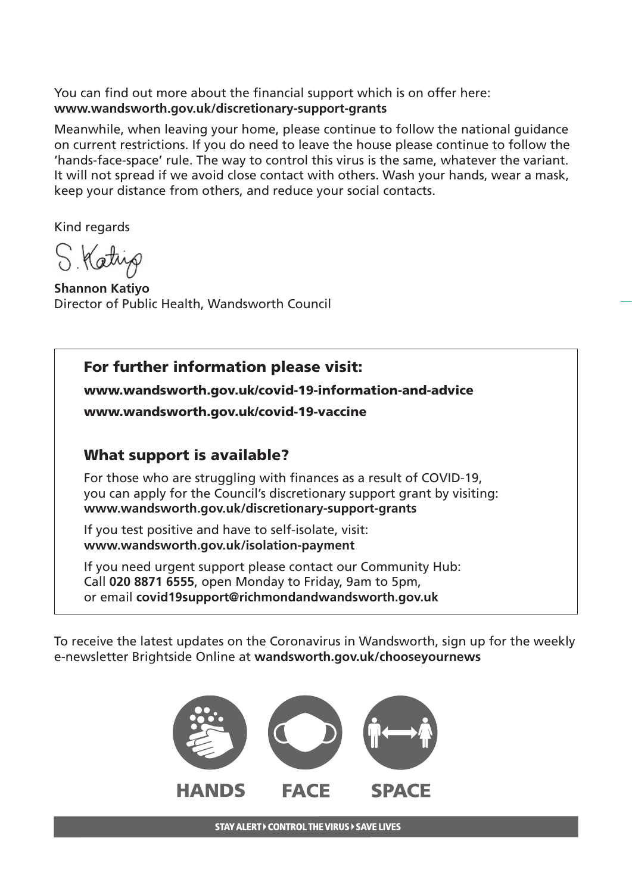You can find out more about the financial support which is on offer here: **www.wandsworth.gov.uk/discretionary-support-grants**

Meanwhile, when leaving your home, please continue to follow the national guidance on current restrictions. If you do need to leave the house please continue to follow the 'hands-face-space' rule. The way to control this virus is the same, whatever the variant. It will not spread if we avoid close contact with others. Wash your hands, wear a mask, keep your distance from others, and reduce your social contacts.

Kind regards

S. Katrip

**Shannon Katiyo** Director of Public Health, Wandsworth Council

# **For further information please visit:**

**www.wandsworth.gov.uk/covid-19-information-and-advice** 

**www.wandsworth.gov.uk/covid-19-vaccine** 

## **What support is available?**

For those who are struggling with finances as a result of COVID-19, you can apply for the Council's discretionary support grant by visiting: **www.wandsworth.gov.uk/discretionary-support-grants**

If you test positive and have to self-isolate, visit: **www.wandsworth.gov.uk/isolation-payment**

If you need urgent support please contact our Community Hub: Call **020 8871 6555**, open Monday to Friday, 9am to 5pm, or email **covid19support@richmondandwandsworth.gov.uk**

To receive the latest updates on the Coronavirus in Wandsworth, sign up for the weekly e-newsletter Brightside Online at **wandsworth.gov.uk/chooseyournews**



**STAY ALERT > CONTROL THE VIRUS > SAVE LIVES**